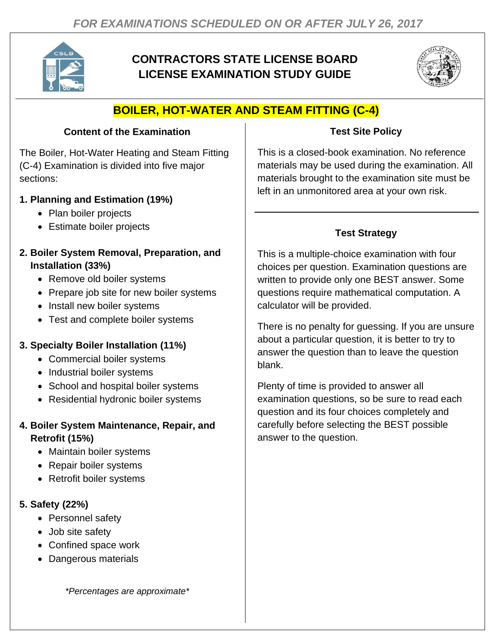

# **CONTRACTORS STATE LICENSE BOARD LICENSE EXAMINATION STUDY GUIDE**



# **BOILER, HOT-WATER AND STEAM FITTING (C-4)**

### **Content of the Examination**

The Boiler, Hot-Water Heating and Steam Fitting (C-4) Examination is divided into five major sections:

### **1. Planning and Estimation (19%)**

- Plan boiler projects
- Estimate boiler projects
- **2. Boiler System Removal, Preparation, and Installation (33%)**
	- Remove old boiler systems
	- Prepare job site for new boiler systems
	- Install new boiler systems
	- Test and complete boiler systems

## **3. Specialty Boiler Installation (11%)**

- Commercial boiler systems
- Industrial boiler systems
- School and hospital boiler systems
- Residential hydronic boiler systems
- **4. Boiler System Maintenance, Repair, and Retrofit (15%)**
	- Maintain boiler systems
	- Repair boiler systems
	- Retrofit boiler systems

## **5. Safety (22%)**

- Personnel safety
- Job site safety
- Confined space work
- Dangerous materials

*\*Percentages are approximate\**

#### **Test Site Policy**

This is a closed-book examination. No reference materials may be used during the examination. All materials brought to the examination site must be left in an unmonitored area at your own risk.

# **Test Strategy**

This is a multiple-choice examination with four choices per question. Examination questions are written to provide only one BEST answer. Some questions require mathematical computation. A calculator will be provided.

There is no penalty for guessing. If you are unsure about a particular question, it is better to try to answer the question than to leave the question blank.

Plenty of time is provided to answer all examination questions, so be sure to read each question and its four choices completely and carefully before selecting the BEST possible answer to the question.